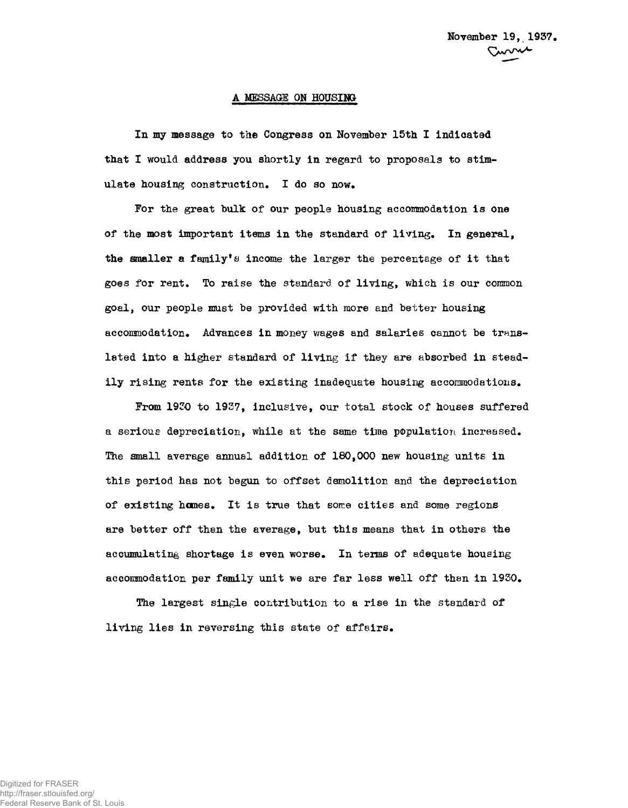## **A** MESSAGE ON HOUSIH&

In my message to the Congress on November 15th I indicated that I would address you shortly in regard to proposals to stimulate housing construction. I do so now.

For the great bulk of our people housing accommodation is one of the most important items in the standard of living. In general, the smaller a family's income the larger the percentage of it that goes for rent. To raise the standard of living, which is our common goal, our people must be provided with more and better housing accommodation. Advances in money wages and salaries cannot be translated into a higher standard of living if they are absorbed in steadily rising rents for the existing inadequate housing accommodations.

From 1930 to 1937, inclusive, our total stock of houses suffered a serious depreciation, while at the same time population increased. The small average annual addition of 180,000 new housing units in this period has not begun to offset demolition and the depreciation of existing hcmes. It is true that some cities and some regions are better off than the average, but this means that in others the accumulating shortage is even worse. In terms of adequate housing accommodation per family unit we are far less well off than in 1930.

The largest single contribution to a rise in the standard of living lies in reversing this state of affairs.

Digitized for FRASER http://fraser.stlouisfed.org/ Federal Reserve Bank of St. Louis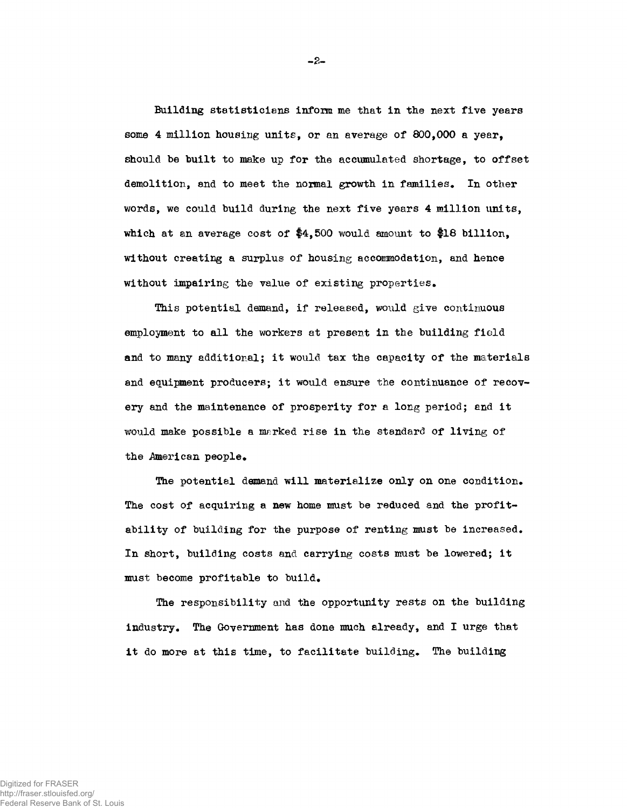Building statisticians inform me that in the next five years some 4 million housing units, or an average of 800,000 a year, should be built to make up for the accumulated shortage, to offset demolition, and to meet the normal growth in families. In other words, we could build during the next five years 4 million units, which at an average cost of \$4,500 would amount to \$18 billion, without creating a surplus of housing accommodation, and hence without impairing the value of existing properties.

This potential demand, if released, would give continuous employment to all the workers at present in the building field and to many additional; it would tax the capacity of the materials and equipment producers; it would ensure the continuance of recovery and the maintenance of prosperity for a long period; and it would make possible a marked rise in the standard of living of the American people.

The potential demand will materialize only on one condition. The cost of acquiring a new home must be reduced and the profitability of building for the purpose of renting must be increased. In short, building costs and carrying costs must be lowered; it must become profitable to build.

The responsibility and the opportunity rests on the building industry. The Government has done much already, and I urge that it do more at this time, to facilitate building. The building

-2-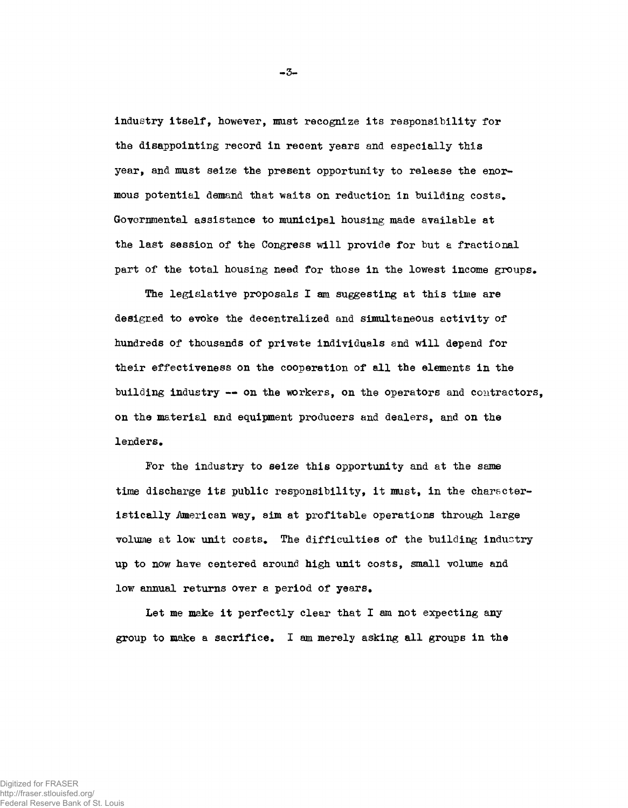industry itself, however, mast recognize its responsibility for the disappointing record in recent years and especially this year, and must seize the present opportunity to release the enormous potential demand that waits on reduction in building costs. Governmental assistance to municipal housing made available at the last session of the Congress will provide for but a fractional part of the total housing need for those in the lowest income groups.

The legislative proposals I am suggesting at this time are designed to evoke the decentralized and simultaneous activity of hundreds of thousands of private individuals and will depend for their effectiveness on the cooperation of all the elements in the building industry -- on the workers, on the operators and contractors, on the material end equipment producers and dealers, and on the lenders.

For the industry to seize this opportunity and at the same time discharge its public responsibility, it must, in the characteristically American way, aim at profitable operations through large volume at low unit costs. The difficulties of the building industry up to now have centered around high unit costs, small volume and low annual returns over a period of years.

Let me make it perfectly clear that I am not expecting any group to make a sacrifice. I am merely asking all groups in the

-3-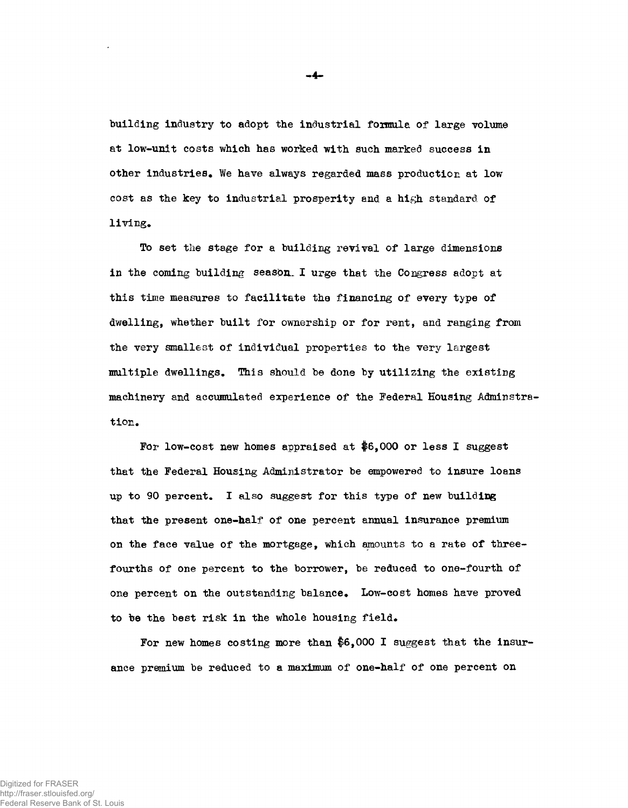building industry to adopt the industrial formula of large volume at low-unit costs which has worked with such marked success in other industries. We have always regarded mass production at low cost as the key to industrial prosperity and a high standard of living.

To set the stage for a building revival of large dimensions in the coming building season. I urge that the Congress adopt at this time measures to facilitate the financing of every type of dwelling, whether built for ownership or for rent, and ranging from the very smallest of individual properties to the very largest multiple dwellings. This should be done by utilising the existing machinery and accumulated experience of the Federal Housing Adminstration.

For low-cost new homes appraised at \$6,000 or less I suggest that the Federal Housing Administrator be empowered to insure loans up to 90 percent. I also suggest for this type of new building that the present one-half of one percent annual insurance premium on the face value of the mortgage, which amounts to a rate of threefourths of one percent to the borrower, be reduced to one-fourth of one percent on the outstanding balance. Low-cost homes have proved to be the best risk in the whole housing field.

For new homes costing more than \$6,000 I suggest that the insurance premium be reduced to a maximum of one-half of one percent on

-4-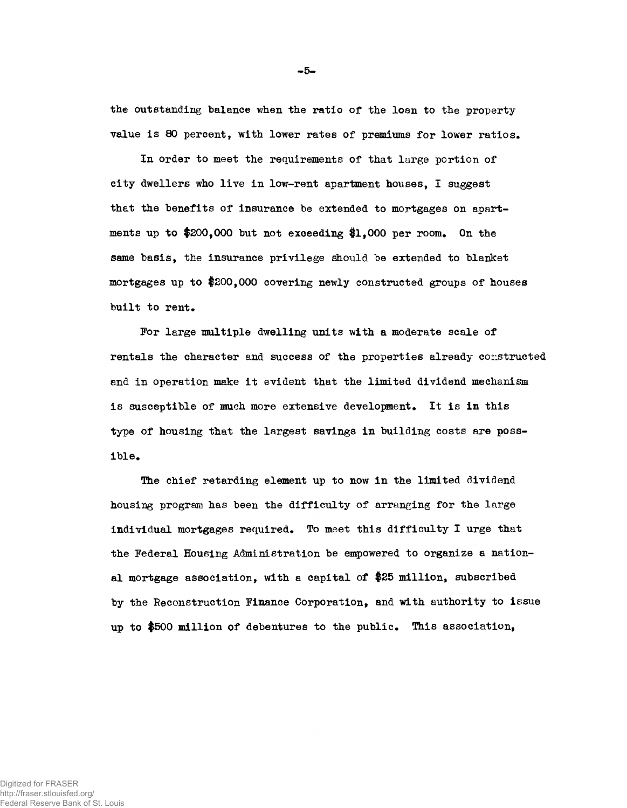the outstanding balance when the ratio of the loan to the propertyvalue is 80 percent, with lower rates of premiums for lower ratios.

In order to meet the requirements of that large portion of city dwellers who live in low-rent apartment houses, I suggest that the benefits of insurance be extended to mortgages on apartments up to  $$200,000$  but not exceeding  $$1,000$  per room. On the same basis, the insurance privilege should be extended to blanket mortgages up to \$200,000 covering newly constructed groups of houses built to rent.

For large multiple dwelling units with a moderate scale of rentals the character and success of the properties already constructed and in operation make it evident that the limited dividend mechanism is susceptible of much more extensive development. It is in this type of housing that the largest savings in building costs are possible.

The chief retarding element up to now in the limited dividend housing program has been the difficulty of arranging for the large individual mortgages required. To meet this difficulty I urge that the Federal Housing Administration be empowered to organize a national mortgage association, with a capital of \$25 million, subscribed by the Reconstruction Finance Corporation, and with authority to issue up to \$500 million of debentures to the public\* This association,

-5-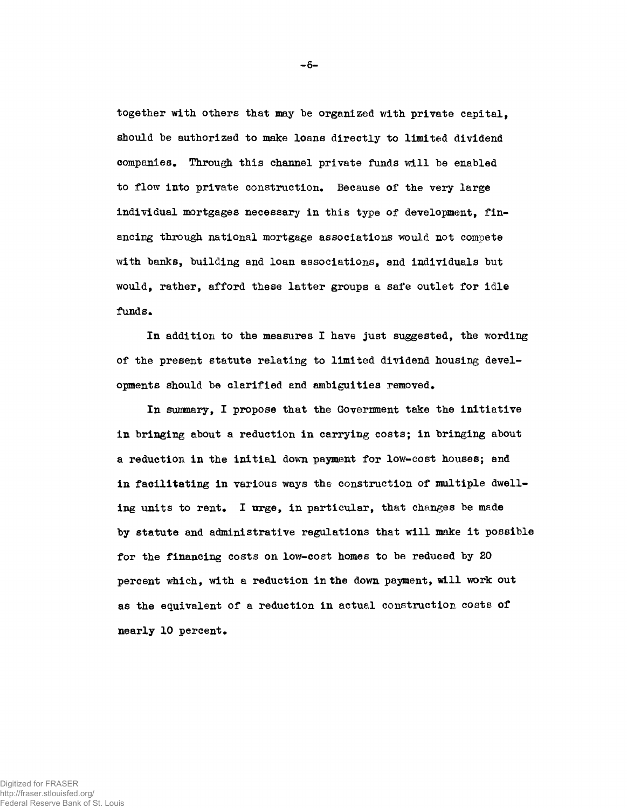together with others that may be organized with private capital, should be authorized to make loans directly to limited dividend companies. Through this channel private funds will be enabled to flow into private construction. Because of the very large individual mortgages necessary in this type of development, financing through national mortgage associations would not compete with banks, building and loan associations, and individuals but would, rather, afford these latter groups a safe outlet for idle funds.

In addition to the measures I have just suggested, the wording of the present statute relating to limited dividend housing developments should be clarified and ambiguities removed.

In summary, I propose that the Government take the initiative in bringing about a reduction in carrying costs; in bringing about a reduction in the initial down payment for low-cost houses; and in facilitating in various ways the construction of multiple dwelling units to rent. I urge, in particular, that changes be made by statute and administrative regulations that will make it possible for the financing costs on low-cost homes to be reduced by 20 percent which, with a reduction in the down payment, will work out as the equivalent of a reduction in actual construction costs of nearly 10 percent.

-6-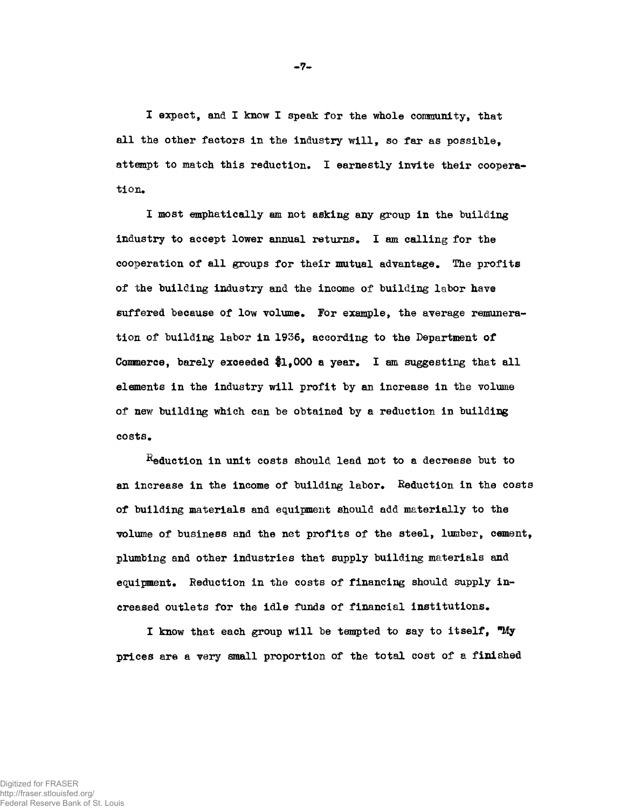I expect, and I know I speak for the whole comaunity, that all the other factors in the industry will, so far as possible, attempt to match this reduction. I earnestly invite their cooperation.

I most emphatically am not asking any group in the building industry to accept lower annual returns. I am calling for the cooperation of all groups for their mutual advantage. The profits of the building industry and the income of building labor have suffered because of low volume. For example, the average remuneration of building labor in 1936, according to the Department of Commerce, barely exceeded  $1,000$  a year. I am suggesting that all elements in the industry will profit by an increase in the volume of new building which can be obtained by a reduction in building costs.

 $R$ eduction in unit costs should lead not to a decrease but to an increase in the income of building labor. Reduction in the costs of building materials and equipment should add materially to the volume of business and the net profits of the steel, lumber, cement, plumbing and other industries that supply building materials and equipment. Reduction in the costs of financing should supply increased outlets for the idle funds of financial institutions.

I know that each group will be tempted to say to itself,  $^m$ My prices are a very small proportion of the total cost of a finished

-7-